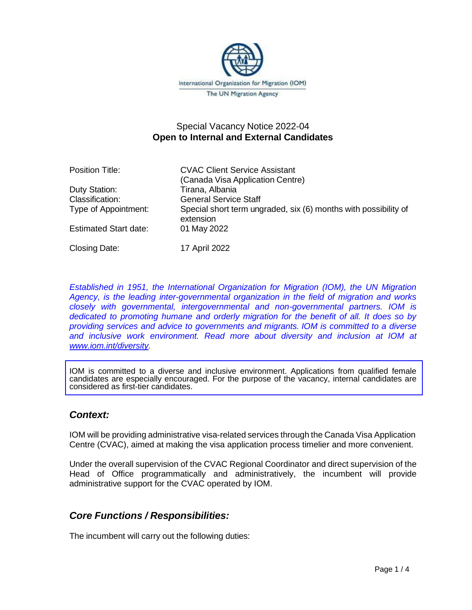

# Special Vacancy Notice 2022-04 **Open to Internal and External Candidates**

Position Title: CVAC Client Service Assistant (Canada Visa Application Centre) Duty Station: Tirana, Albania Classification: General Service Staff Type of Appointment: Special short term ungraded, six (6) months with possibility of extension Estimated Start date: 01 May 2022 Closing Date: 17 April 2022

*Established in 1951, the International Organization for Migration (IOM), the UN Migration Agency, is the leading inter-governmental organization in the field of migration and works closely with governmental, intergovernmental and non-governmental partners. IOM is dedicated to promoting humane and orderly migration for the benefit of all. It does so by providing services and advice to governments and migrants. IOM is committed to a diverse and inclusive work environment. Read more about diversity and inclusion at IOM at [www.iom.int/diversity.](http://www.iom.int/diversity)* 

IOM is committed to a diverse and inclusive environment. Applications from qualified female candidates are especially encouraged. For the purpose of the vacancy, internal candidates are considered as first-tier candidates.

## *Context:*

IOM will be providing administrative visa-related services through the Canada Visa Application Centre (CVAC), aimed at making the visa application process timelier and more convenient.

Under the overall supervision of the CVAC Regional Coordinator and direct supervision of the Head of Office programmatically and administratively, the incumbent will provide administrative support for the CVAC operated by IOM.

# *Core Functions / Responsibilities:*

The incumbent will carry out the following duties: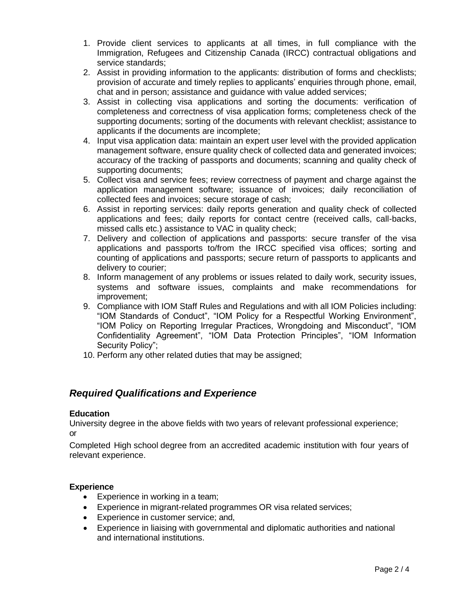- 1. Provide client services to applicants at all times, in full compliance with the Immigration, Refugees and Citizenship Canada (IRCC) contractual obligations and service standards;
- 2. Assist in providing information to the applicants: distribution of forms and checklists; provision of accurate and timely replies to applicants' enquiries through phone, email, chat and in person; assistance and guidance with value added services;
- 3. Assist in collecting visa applications and sorting the documents: verification of completeness and correctness of visa application forms; completeness check of the supporting documents; sorting of the documents with relevant checklist; assistance to applicants if the documents are incomplete;
- 4. Input visa application data: maintain an expert user level with the provided application management software, ensure quality check of collected data and generated invoices; accuracy of the tracking of passports and documents; scanning and quality check of supporting documents;
- 5. Collect visa and service fees; review correctness of payment and charge against the application management software; issuance of invoices; daily reconciliation of collected fees and invoices; secure storage of cash;
- 6. Assist in reporting services: daily reports generation and quality check of collected applications and fees; daily reports for contact centre (received calls, call-backs, missed calls etc.) assistance to VAC in quality check;
- 7. Delivery and collection of applications and passports: secure transfer of the visa applications and passports to/from the IRCC specified visa offices; sorting and counting of applications and passports; secure return of passports to applicants and delivery to courier;
- 8. Inform management of any problems or issues related to daily work, security issues, systems and software issues, complaints and make recommendations for improvement;
- 9. Compliance with IOM Staff Rules and Regulations and with all IOM Policies including: "IOM Standards of Conduct", "IOM Policy for a Respectful Working Environment", "IOM Policy on Reporting Irregular Practices, Wrongdoing and Misconduct", "IOM Confidentiality Agreement", "IOM Data Protection Principles", "IOM Information Security Policy";
- 10. Perform any other related duties that may be assigned;

# *Required Qualifications and Experience*

### **Education**

University degree in the above fields with two years of relevant professional experience; or

Completed High school degree from an accredited academic institution with four years of relevant experience.

### **Experience**

- Experience in working in a team;
- Experience in migrant-related programmes OR visa related services;
- Experience in customer service; and,
- Experience in liaising with governmental and diplomatic authorities and national and international institutions.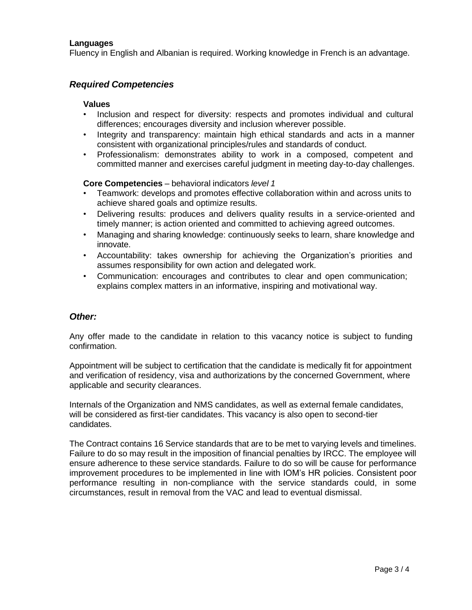### **Languages**

Fluency in English and Albanian is required. Working knowledge in French is an advantage.

## *Required Competencies*

#### **Values**

- Inclusion and respect for diversity: respects and promotes individual and cultural differences; encourages diversity and inclusion wherever possible.
- Integrity and transparency: maintain high ethical standards and acts in a manner consistent with organizational principles/rules and standards of conduct.
- Professionalism: demonstrates ability to work in a composed, competent and committed manner and exercises careful judgment in meeting day-to-day challenges.

#### **Core Competencies** – behavioral indicators *level 1*

- Teamwork: develops and promotes effective collaboration within and across units to achieve shared goals and optimize results.
- Delivering results: produces and delivers quality results in a service-oriented and timely manner; is action oriented and committed to achieving agreed outcomes.
- Managing and sharing knowledge: continuously seeks to learn, share knowledge and innovate.
- Accountability: takes ownership for achieving the Organization's priorities and assumes responsibility for own action and delegated work.
- Communication: encourages and contributes to clear and open communication; explains complex matters in an informative, inspiring and motivational way.

#### *Other:*

Any offer made to the candidate in relation to this vacancy notice is subject to funding confirmation.

Appointment will be subject to certification that the candidate is medically fit for appointment and verification of residency, visa and authorizations by the concerned Government, where applicable and security clearances.

Internals of the Organization and NMS candidates, as well as external female candidates, will be considered as first-tier candidates. This vacancy is also open to second-tier candidates.

The Contract contains 16 Service standards that are to be met to varying levels and timelines. Failure to do so may result in the imposition of financial penalties by IRCC. The employee will ensure adherence to these service standards. Failure to do so will be cause for performance improvement procedures to be implemented in line with IOM's HR policies. Consistent poor performance resulting in non-compliance with the service standards could, in some circumstances, result in removal from the VAC and lead to eventual dismissal.